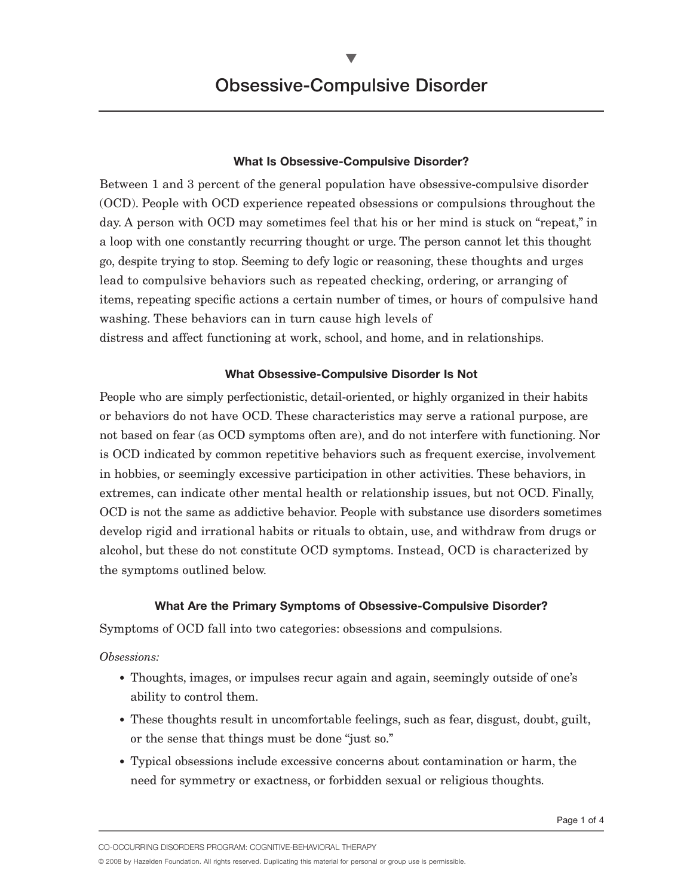$\blacktriangledown$ 

# **What Is Obsessive-Compulsive Disorder?**

Between 1 and 3 percent of the general population have obsessive-compulsive disorder (OCD). People with OCD experience repeated obsessions or compulsions throughout the day. A person with OCD may sometimes feel that his or her mind is stuck on "repeat," in a loop with one constantly recurring thought or urge. The person cannot let this thought go, despite trying to stop. Seeming to defy logic or reasoning, these thoughts and urges lead to compulsive behaviors such as repeated checking, ordering, or arranging of items, repeating specific actions a certain number of times, or hours of compulsive hand washing. These behaviors can in turn cause high levels of distress and affect functioning at work, school, and home, and in relationships.

### **What Obsessive-Compulsive Disorder Is Not**

People who are simply perfectionistic, detail-oriented, or highly organized in their habits or behaviors do not have OCD. These characteristics may serve a rational purpose, are not based on fear (as OCD symptoms often are), and do not interfere with functioning. Nor is OCD indicated by common repetitive behaviors such as frequent exercise, involvement in hobbies, or seemingly excessive participation in other activities. These behaviors, in extremes, can indicate other mental health or relationship issues, but not OCD. Finally, OCD is not the same as addictive behavior. People with substance use disorders sometimes develop rigid and irrational habits or rituals to obtain, use, and withdraw from drugs or alcohol, but these do not constitute OCD symptoms. Instead, OCD is characterized by the symptoms outlined below.

# **What Are the Primary Symptoms of Obsessive-Compulsive Disorder?**

Symptoms of OCD fall into two categories: obsessions and compulsions.

# *Obsessions:*

- Thoughts, images, or impulses recur again and again, seemingly outside of one's ability to control them.
- These thoughts result in uncomfortable feelings, such as fear, disgust, doubt, guilt, or the sense that things must be done "just so."
- Typical obsessions include excessive concerns about contamination or harm, the need for symmetry or exactness, or forbidden sexual or religious thoughts.

CO-OCCURRING DISORDERS PROGRAM: COGNITIVE-BEHAVIORAL THERAPY

© 2008 by Hazelden Foundation. All rights reserved. Duplicating this material for personal or group use is permissible.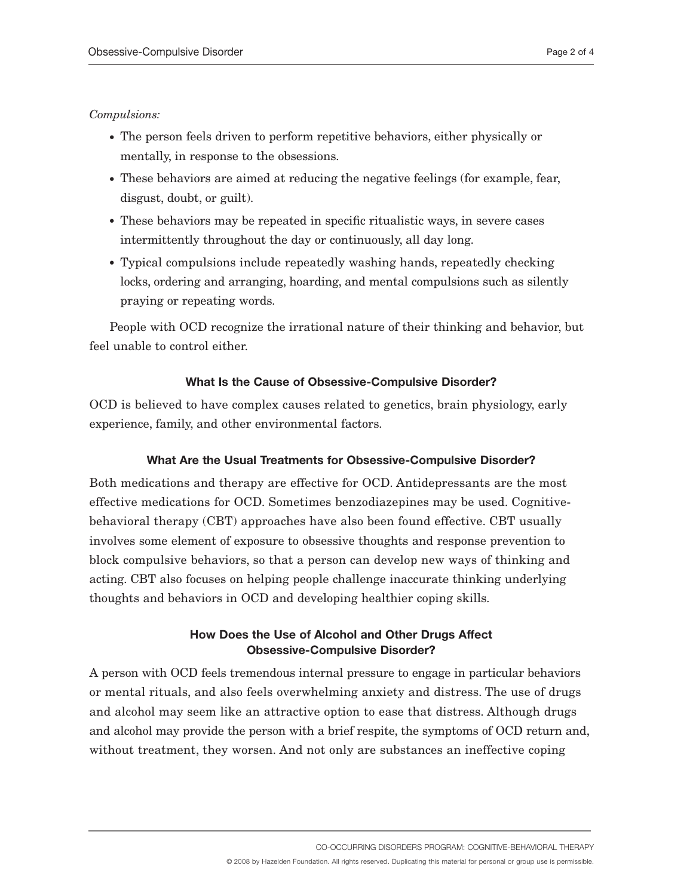### *Compulsions:*

- The person feels driven to perform repetitive behaviors, either physically or mentally, in response to the obsessions.
- These behaviors are aimed at reducing the negative feelings (for example, fear, disgust, doubt, or guilt).
- These behaviors may be repeated in specific ritualistic ways, in severe cases intermittently throughout the day or continuously, all day long.
- Typical compulsions include repeatedly washing hands, repeatedly checking locks, ordering and arranging, hoarding, and mental compulsions such as silently praying or repeating words.

People with OCD recognize the irrational nature of their thinking and behavior, but feel unable to control either.

# **What Is the Cause of Obsessive-Compulsive Disorder?**

OCD is believed to have complex causes related to genetics, brain physiology, early experience, family, and other environmental factors.

#### **What Are the Usual Treatments for Obsessive-Compulsive Disorder?**

Both medications and therapy are effective for OCD. Antidepressants are the most effective medications for OCD. Sometimes benzodiazepines may be used. Cognitivebehavioral therapy (CBT) approaches have also been found effective. CBT usually involves some element of exposure to obsessive thoughts and response prevention to block compulsive behaviors, so that a person can develop new ways of thinking and acting. CBT also focuses on helping people challenge inaccurate thinking underlying thoughts and behaviors in OCD and developing healthier coping skills.

# **How Does the Use of Alcohol and Other Drugs Affect Obsessive-Compulsive Disorder?**

A person with OCD feels tremendous internal pressure to engage in particular behaviors or mental rituals, and also feels overwhelming anxiety and distress. The use of drugs and alcohol may seem like an attractive option to ease that distress. Although drugs and alcohol may provide the person with a brief respite, the symptoms of OCD return and, without treatment, they worsen. And not only are substances an ineffective coping

CO-OCCURRING DISORDERS PROGRAM: COGNITIVE-BEHAVIORAL THERAPY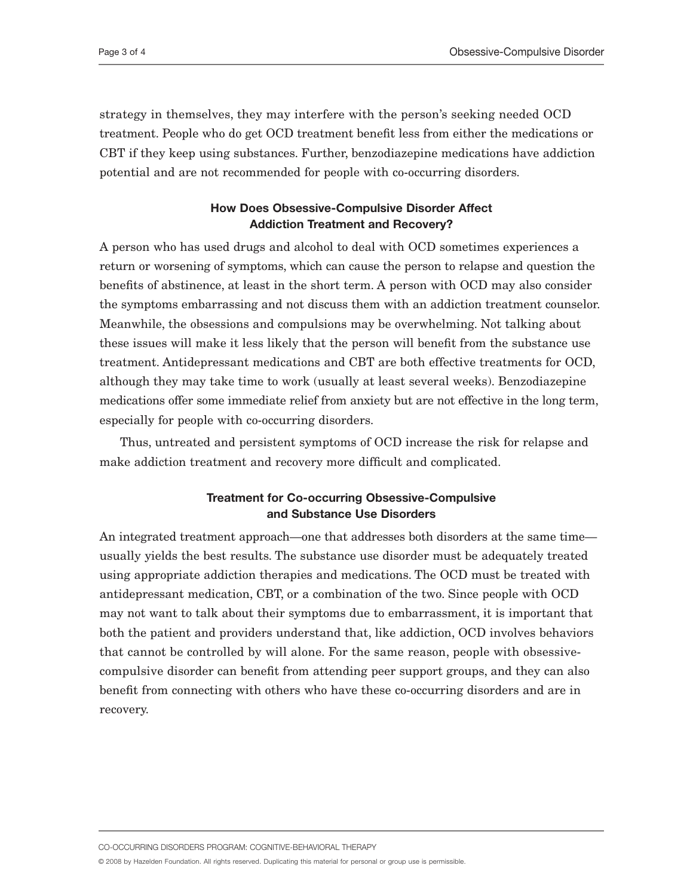strategy in themselves, they may interfere with the person's seeking needed OCD treatment. People who do get OCD treatment benefit less from either the medications or CBT if they keep using substances. Further, benzodiazepine medications have addiction potential and are not recommended for people with co-occurring disorders.

# **How Does Obsessive-Compulsive Disorder Affect Addiction Treatment and Recovery?**

A person who has used drugs and alcohol to deal with OCD sometimes experiences a return or worsening of symptoms, which can cause the person to relapse and question the benefits of abstinence, at least in the short term. A person with OCD may also consider the symptoms embarrassing and not discuss them with an addiction treatment counselor. Meanwhile, the obsessions and compulsions may be overwhelming. Not talking about these issues will make it less likely that the person will benefit from the substance use treatment. Antidepressant medications and CBT are both effective treatments for OCD, although they may take time to work (usually at least several weeks). Benzodiazepine medications offer some immediate relief from anxiety but are not effective in the long term, especially for people with co-occurring disorders.

Thus, untreated and persistent symptoms of OCD increase the risk for relapse and make addiction treatment and recovery more difficult and complicated.

# **Treatment for Co-occurring Obsessive-Compulsive and Substance Use Disorders**

An integrated treatment approach—one that addresses both disorders at the same time usually yields the best results. The substance use disorder must be adequately treated using appropriate addiction therapies and medications. The OCD must be treated with antidepressant medication, CBT, or a combination of the two. Since people with OCD may not want to talk about their symptoms due to embarrassment, it is important that both the patient and providers understand that, like addiction, OCD involves behaviors that cannot be controlled by will alone. For the same reason, people with obsessivecompulsive disorder can benefit from attending peer support groups, and they can also benefit from connecting with others who have these co-occurring disorders and are in recovery.

CO-OCCURRING DISORDERS PROGRAM: COGNITIVE-BEHAVIORAL THERAPY

© 2008 by Hazelden Foundation. All rights reserved. Duplicating this material for personal or group use is permissible.